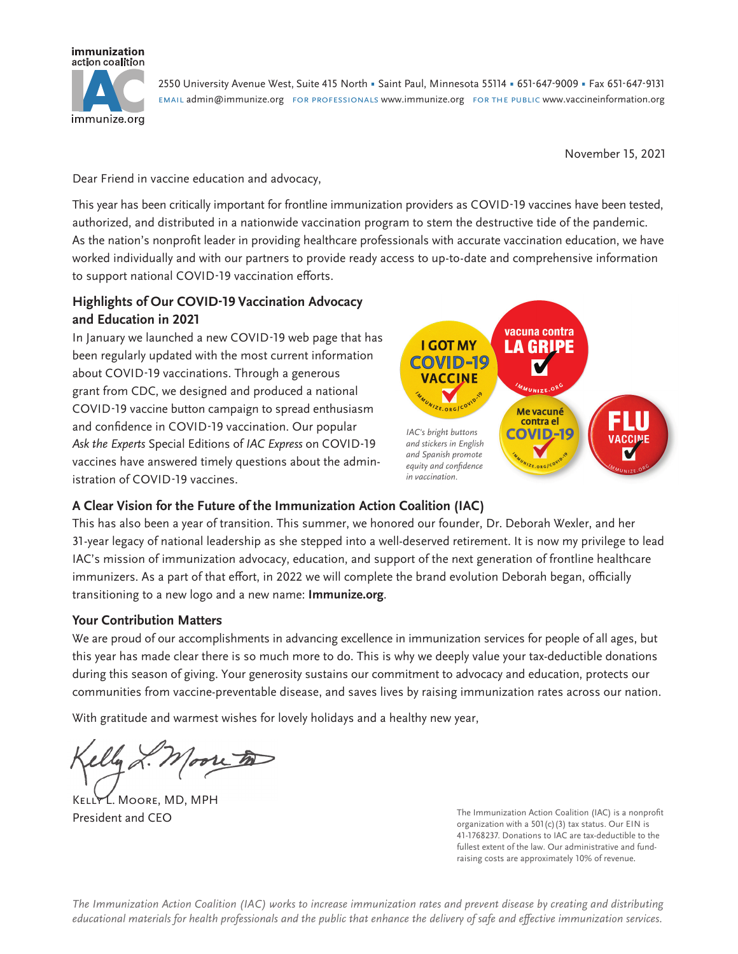

2550 University Avenue West, Suite 415 North • Saint Paul, Minnesota 55114 • 651-647-9009 • Fax 651-647-9131 email admin@immunize.org for professionals www.immunize.org for the public www.vaccineinformation.org

November 15, 2021

Dear Friend in vaccine education and advocacy,

This year has been critically important for frontline immunization providers as COVID-19 vaccines have been tested, authorized, and distributed in a nationwide vaccination program to stem the destructive tide of the pandemic. As the nation's nonprofit leader in providing healthcare professionals with accurate vaccination education, we have worked individually and with our partners to provide ready access to up-to-date and comprehensive information to support national COVID-19 vaccination efforts.

# **Highlights of Our COVID-19 Vaccination Advocacy and Education in 2021**

In January we launched a new COVID-19 web page that has been regularly updated with the most current information about COVID-19 vaccinations. Through a generous grant from CDC, we designed and produced a national COVID-19 vaccine button campaign to spread enthusiasm and confidence in COVID-19 vaccination. Our popular *Ask the Experts* Special Editions of *IAC Express* on COVID-19 vaccines have answered timely questions about the administration of COVID-19 vaccines.



### **A Clear Vision for the Future of the Immunization Action Coalition (IAC)**

This has also been a year of transition. This summer, we honored our founder, Dr. Deborah Wexler, and her 31-year legacy of national leadership as she stepped into a well-deserved retirement. It is now my privilege to lead IAC's mission of immunization advocacy, education, and support of the next generation of frontline healthcare immunizers. As a part of that effort, in 2022 we will complete the brand evolution Deborah began, officially transitioning to a new logo and a new name: **Immunize.org**.

#### **Your Contribution Matters**

We are proud of our accomplishments in advancing excellence in immunization services for people of all ages, but this year has made clear there is so much more to do. This is why we deeply value your tax-deductible donations during this season of giving. Your generosity sustains our commitment to advocacy and education, protects our communities from vaccine-preventable disease, and saves lives by raising immunization rates across our nation.

With gratitude and warmest wishes for lovely holidays and a healthy new year,

Kelly L. Moore, MD, MPH President and CEO

The Immunization Action Coalition (IAC) is a nonprofit organization with a  $501(c)(3)$  tax status. Our EIN is 41-1768237. Donations to IAC are tax-deductible to the fullest extent of the law. Our administrative and fundraising costs are approximately 10% of revenue.

*The Immunization Action Coalition (IAC) works to increase immunization rates and prevent disease by creating and distributing*  educational materials for health professionals and the public that enhance the delivery of safe and effective immunization services*.*